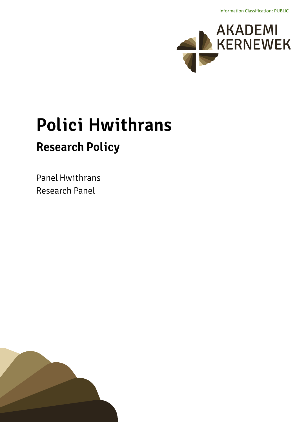Information Classification: PUBLIC



# **Polici Hwithrans Research Policy**

**Panel Hwithrans Research Panel**